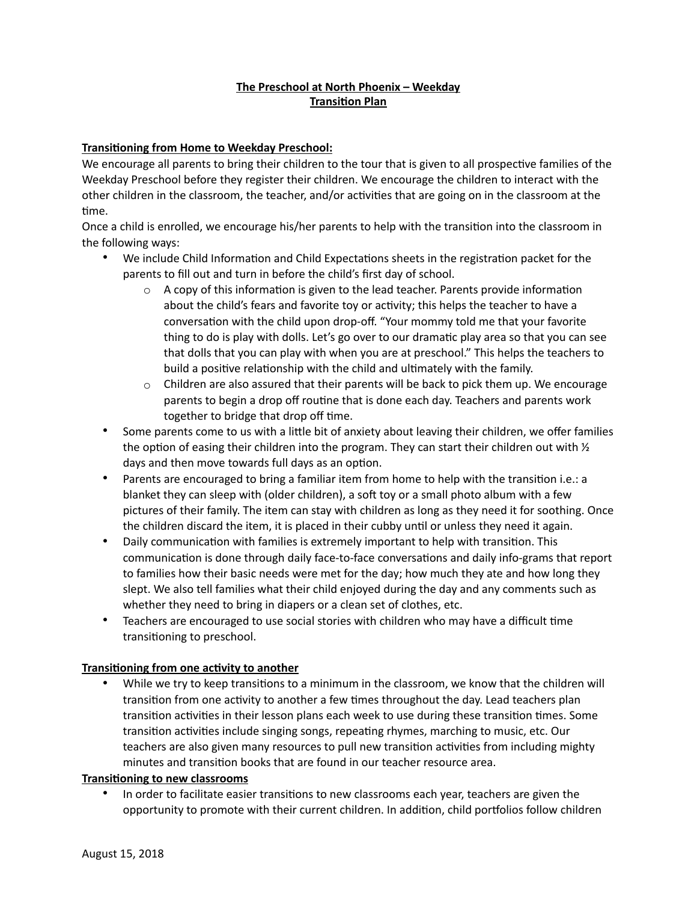# **The Preschool at North Phoenix – Weekday Transition Plan**

### **Transitioning from Home to Weekday Preschool:**

We encourage all parents to bring their children to the tour that is given to all prospective families of the Weekday Preschool before they register their children. We encourage the children to interact with the other children in the classroom, the teacher, and/or activities that are going on in the classroom at the time.

Once a child is enrolled, we encourage his/her parents to help with the transition into the classroom in the following ways:

- We include Child Information and Child Expectations sheets in the registration packet for the parents to fill out and turn in before the child's first day of school.
	- $\circ$  A copy of this information is given to the lead teacher. Parents provide information about the child's fears and favorite toy or activity; this helps the teacher to have a conversation with the child upon drop-off. "Your mommy told me that your favorite thing to do is play with dolls. Let's go over to our dramatic play area so that you can see that dolls that you can play with when you are at preschool." This helps the teachers to build a positive relationship with the child and ultimately with the family.
	- $\circ$  Children are also assured that their parents will be back to pick them up. We encourage parents to begin a drop off routine that is done each day. Teachers and parents work together to bridge that drop off time.
- Some parents come to us with a little bit of anxiety about leaving their children, we offer families the option of easing their children into the program. They can start their children out with  $\frac{1}{2}$ days and then move towards full days as an option.
- Parents are encouraged to bring a familiar item from home to help with the transition i.e.: a blanket they can sleep with (older children), a soft toy or a small photo album with a few pictures of their family. The item can stay with children as long as they need it for soothing. Once the children discard the item, it is placed in their cubby until or unless they need it again.
- Daily communication with families is extremely important to help with transition. This communication is done through daily face-to-face conversations and daily info-grams that report to families how their basic needs were met for the day; how much they ate and how long they slept. We also tell families what their child enjoyed during the day and any comments such as whether they need to bring in diapers or a clean set of clothes, etc.
- Teachers are encouraged to use social stories with children who may have a difficult time transitioning to preschool.

#### **Transitioning from one activity to another**

While we try to keep transitions to a minimum in the classroom, we know that the children will transition from one activity to another a few times throughout the day. Lead teachers plan transition activities in their lesson plans each week to use during these transition times. Some transition activities include singing songs, repeating rhymes, marching to music, etc. Our teachers are also given many resources to pull new transition activities from including mighty minutes and transition books that are found in our teacher resource area.

#### **Transitioning to new classrooms**

• In order to facilitate easier transitions to new classrooms each year, teachers are given the opportunity to promote with their current children. In addition, child portfolios follow children